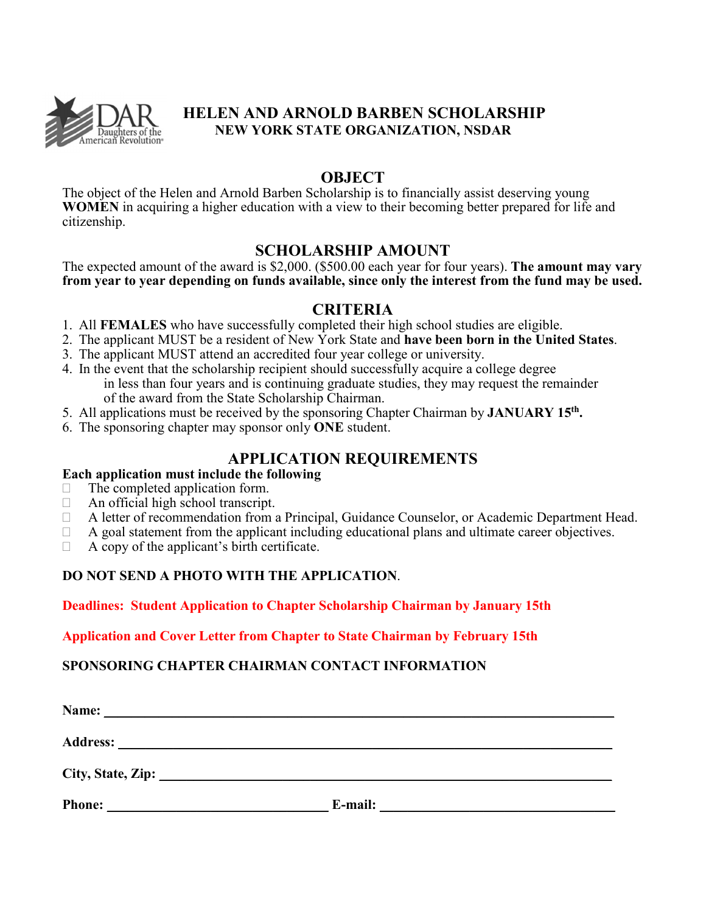

## **HELEN AND ARNOLD BARBEN SCHOLARSHIP NEW YORK STATE ORGANIZATION, NSDAR**

### **OBJECT**

The object of the Helen and Arnold Barben Scholarship is to financially assist deserving young **WOMEN** in acquiring a higher education with a view to their becoming better prepared for life and citizenship.

## **SCHOLARSHIP AMOUNT**

The expected amount of the award is \$2,000. (\$500.00 each year for four years). **The amount may vary from year to year depending on funds available, since only the interest from the fund may be used.** 

## **CRITERIA**

- 1. All **FEMALES** who have successfully completed their high school studies are eligible.
- 2. The applicant MUST be a resident of New York State and **have been born in the United States**.
- 3. The applicant MUST attend an accredited four year college or university.
- 4. In the event that the scholarship recipient should successfully acquire a college degree in less than four years and is continuing graduate studies, they may request the remainder of the award from the State Scholarship Chairman.
- 5. All applications must be received by the sponsoring Chapter Chairman by **JANUARY 15th .**
- 6. The sponsoring chapter may sponsor only **ONE** student.

## **APPLICATION REQUIREMENTS**

#### **Each application must include the following**

- $\Box$  The completed application form.
- $\Box$  An official high school transcript.
- A letter of recommendation from a Principal, Guidance Counselor, or Academic Department Head.
- $\Box$  A goal statement from the applicant including educational plans and ultimate career objectives.
- $\Box$  A copy of the applicant's birth certificate.

#### **DO NOT SEND A PHOTO WITH THE APPLICATION**.

#### **Deadlines: Student Application to Chapter Scholarship Chairman by January 15th**

#### **Application and Cover Letter from Chapter to State Chairman by February 15th**

#### **SPONSORING CHAPTER CHAIRMAN CONTACT INFORMATION**

| Name:             |         |  |
|-------------------|---------|--|
| Address: ____     |         |  |
| City, State, Zip: |         |  |
| <b>Phone:</b>     | E-mail: |  |